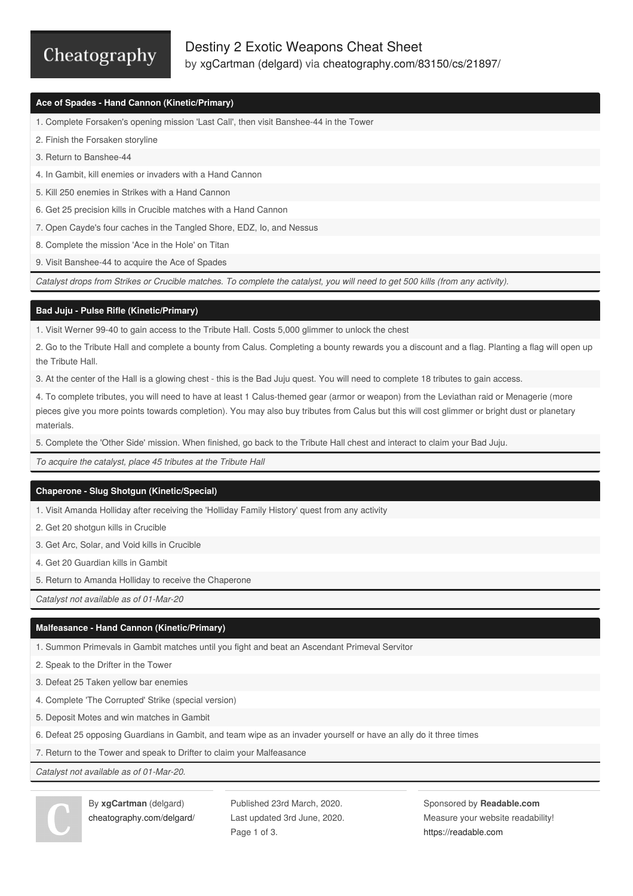# Cheatography

## **Ace of Spades - Hand Cannon (Kinetic/Primary)**

- 1. Complete Forsaken's opening mission 'Last Call', then visit Banshee-44 in the Tower
- 2. Finish the Forsaken storyline
- 3. Return to Banshee-44
- 4. In Gambit, kill enemies or invaders with a Hand Cannon
- 5. Kill 250 enemies in Strikes with a Hand Cannon
- 6. Get 25 precision kills in Crucible matches with a Hand Cannon
- 7. Open Cayde's four caches in the Tangled Shore, EDZ, Io, and Nessus
- 8. Complete the mission 'Ace in the Hole' on Titan
- 9. Visit Banshee-44 to acquire the Ace of Spades

Catalyst drops from Strikes or Crucible matches. To complete the catalyst, you will need to get 500 kills (from any activity).

#### **Bad Juju - Pulse Rifle (Kinetic/Primary)**

1. Visit Werner 99-40 to gain access to the Tribute Hall. Costs 5,000 glimmer to unlock the chest

2. Go to the Tribute Hall and complete a bounty from Calus. Completing a bounty rewards you a discount and a flag. Planting a flag will open up the Tribute Hall.

3. At the center of the Hall is a glowing chest - this is the Bad Juju quest. You will need to complete 18 tributes to gain access.

4. To complete tributes, you will need to have at least 1 Calus-themed gear (armor or weapon) from the Leviathan raid or Menagerie (more pieces give you more points towards completion). You may also buy tributes from Calus but this will cost glimmer or bright dust or planetary materials.

5. Complete the 'Other Side' mission. When finished, go back to the Tribute Hall chest and interact to claim your Bad Juju.

*To acquire the catalyst, place 45 tributes at the Tribute Hall*

#### **Chaperone - Slug Shotgun (Kinetic/Special)**

1. Visit Amanda Holliday after receiving the 'Holliday Family History' quest from any activity

- 2. Get 20 shotgun kills in Crucible
- 3. Get Arc, Solar, and Void kills in Crucible
- 4. Get 20 Guardian kills in Gambit
- 5. Return to Amanda Holliday to receive the Chaperone

*Catalyst not available as of 01-Mar-20*

### **Malfeasance - Hand Cannon (Kinetic/Primary)**

- 1. Summon Primevals in Gambit matches until you fight and beat an Ascendant Primeval Servitor
- 2. Speak to the Drifter in the Tower
- 3. Defeat 25 Taken yellow bar enemies
- 4. Complete 'The Corrupted' Strike (special version)
- 5. Deposit Motes and win matches in Gambit
- 6. Defeat 25 opposing Guardians in Gambit, and team wipe as an invader yourself or have an ally do it three times
- 7. Return to the Tower and speak to Drifter to claim your Malfeasance

*Catalyst not available as of 01-Mar-20.*



By **xgCartman** (delgard) [cheatography.com/delgard/](http://www.cheatography.com/delgard/) Published 23rd March, 2020. Last updated 3rd June, 2020. Page 1 of 3.

Sponsored by **Readable.com** Measure your website readability! <https://readable.com>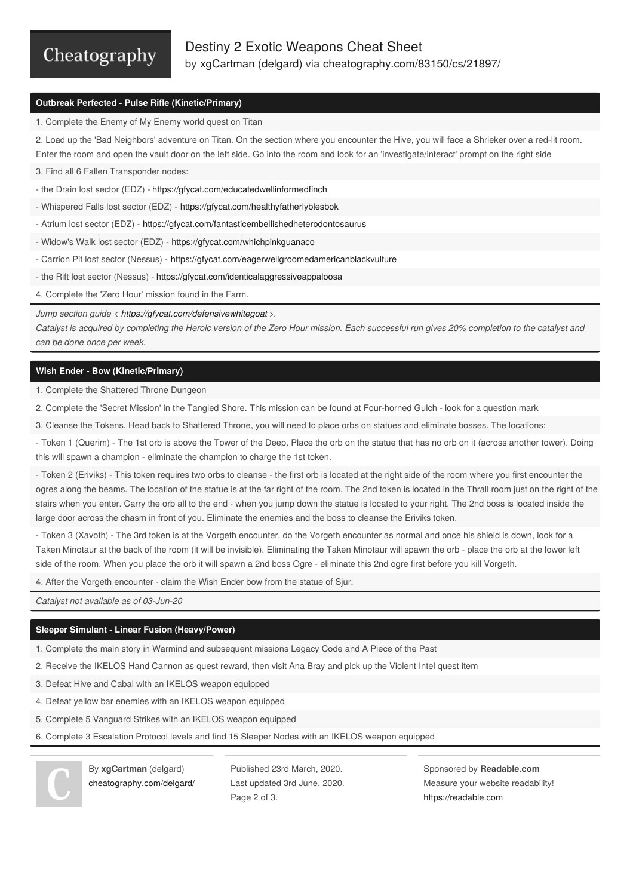# Cheatography

### **Outbreak Perfected - Pulse Rifle (Kinetic/Primary)**

1. Complete the Enemy of My Enemy world quest on Titan

2. Load up the 'Bad Neighbors' adventure on Titan. On the section where you encounter the Hive, you will face a Shrieker over a red-lit room. Enter the room and open the vault door on the left side. Go into the room and look for an 'investigate/interact' prompt on the right side

3. Find all 6 Fallen Transponder nodes:

- the Drain lost sector (EDZ) - <https://gfycat.com/educatedwellinformedfinch>

- Whispered Falls lost sector (EDZ) - <https://gfycat.com/healthyfatherlyblesbok>

- Atrium lost sector (EDZ) - <https://gfycat.com/fantasticembellishedheterodontosaurus>

- Widow's Walk lost sector (EDZ) - <https://gfycat.com/whichpinkguanaco>

- Carrion Pit lost sector (Nessus) - <https://gfycat.com/eagerwellgroomedamericanblackvulture>

- the Rift lost sector (Nessus) - <https://gfycat.com/identicalaggressiveappaloosa>

4. Complete the 'Zero Hour' mission found in the Farm.

*Jump section guide < <https://gfycat.com/defensivewhitegoat> >.*

Catalyst is acquired by completing the Heroic version of the Zero Hour mission. Each successful run gives 20% completion to the catalyst and *can be done once per week.*

### **Wish Ender - Bow (Kinetic/Primary)**

1. Complete the Shattered Throne Dungeon

2. Complete the 'Secret Mission' in the Tangled Shore. This mission can be found at Four-horned Gulch - look for a question mark

3. Cleanse the Tokens. Head back to Shattered Throne, you will need to place orbs on statues and eliminate bosses. The locations:

- Token 1 (Querim) - The 1st orb is above the Tower of the Deep. Place the orb on the statue that has no orb on it (across another tower). Doing this will spawn a champion - eliminate the champion to charge the 1st token.

- Token 2 (Eriviks) - This token requires two orbs to cleanse - the first orb is located at the right side of the room where you first encounter the ogres along the beams. The location of the statue is at the far right of the room. The 2nd token is located in the Thrall room just on the right of the stairs when you enter. Carry the orb all to the end - when you jump down the statue is located to your right. The 2nd boss is located inside the large door across the chasm in front of you. Eliminate the enemies and the boss to cleanse the Eriviks token.

- Token 3 (Xavoth) - The 3rd token is at the Vorgeth encounter, do the Vorgeth encounter as normal and once his shield is down, look for a Taken Minotaur at the back of the room (it will be invisible). Eliminating the Taken Minotaur will spawn the orb - place the orb at the lower left side of the room. When you place the orb it will spawn a 2nd boss Ogre - eliminate this 2nd ogre first before you kill Vorgeth.

4. After the Vorgeth encounter - claim the Wish Ender bow from the statue of Sjur.

*Catalyst not available as of 03-Jun-20*

#### **Sleeper Simulant - Linear Fusion (Heavy/Power)**

1. Complete the main story in Warmind and subsequent missions Legacy Code and A Piece of the Past

- 2. Receive the IKELOS Hand Cannon as quest reward, then visit Ana Bray and pick up the Violent Intel quest item
- 3. Defeat Hive and Cabal with an IKELOS weapon equipped
- 4. Defeat yellow bar enemies with an IKELOS weapon equipped
- 5. Complete 5 Vanguard Strikes with an IKELOS weapon equipped
- 6. Complete 3 Escalation Protocol levels and find 15 Sleeper Nodes with an IKELOS weapon equipped

By **xgCartman** (delgard) [cheatography.com/delgard/](http://www.cheatography.com/delgard/) Published 23rd March, 2020. Last updated 3rd June, 2020. Page 2 of 3.

Sponsored by **Readable.com** Measure your website readability! <https://readable.com>